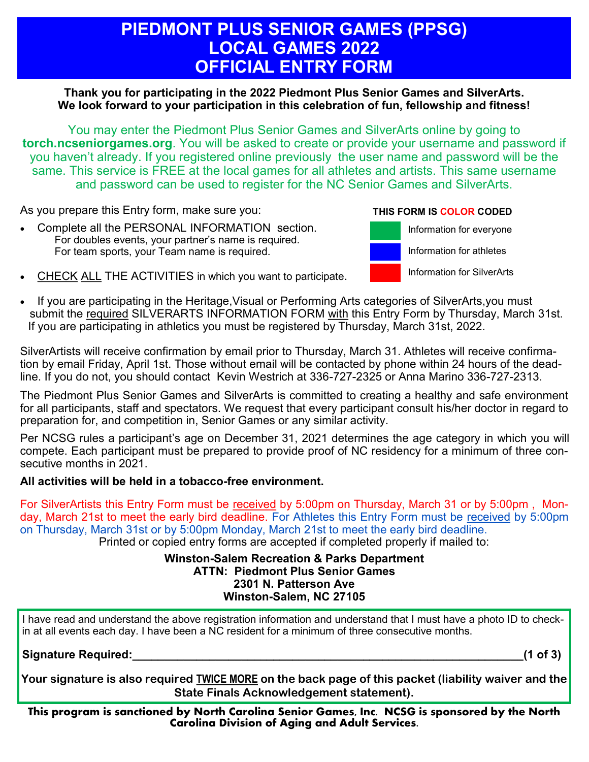# **PIEDMONT PLUS SENIOR GAMES (PPSG) LOCAL GAMES 2022 OFFICIAL ENTRY FORM**

#### **Thank you for participating in the 2022 Piedmont Plus Senior Games and SilverArts. We look forward to your participation in this celebration of fun, fellowship and fitness!**

You may enter the Piedmont Plus Senior Games and SilverArts online by going to **torch.ncseniorgames.org**. You will be asked to create or provide your username and password if you haven't already. If you registered online previously the user name and password will be the same. This service is FREE at the local games for all athletes and artists. This same username and password can be used to register for the NC Senior Games and SilverArts.

As you prepare this Entry form, make sure you:

• Complete all the PERSONAL INFORMATION section. For doubles events, your partner's name is required. For team sports, your Team name is required.

#### **THIS FORM IS COLOR CODED**



Information for everyone

Information for athletes

Information for SilverArts

- CHECK ALL THE ACTIVITIES in which you want to participate.
- If you are participating in the Heritage,Visual or Performing Arts categories of SilverArts,you must submit the required SILVERARTS INFORMATION FORM with this Entry Form by Thursday, March 31st. If you are participating in athletics you must be registered by Thursday, March 31st, 2022.

SilverArtists will receive confirmation by email prior to Thursday, March 31. Athletes will receive confirmation by email Friday, April 1st. Those without email will be contacted by phone within 24 hours of the deadline. If you do not, you should contact Kevin Westrich at 336-727-2325 or Anna Marino 336-727-2313.

The Piedmont Plus Senior Games and SilverArts is committed to creating a healthy and safe environment for all participants, staff and spectators. We request that every participant consult his/her doctor in regard to preparation for, and competition in, Senior Games or any similar activity.

Per NCSG rules a participant's age on December 31, 2021 determines the age category in which you will compete. Each participant must be prepared to provide proof of NC residency for a minimum of three consecutive months in 2021.

### **All activities will be held in a tobacco-free environment.**

For SilverArtists this Entry Form must be received by 5:00pm on Thursday, March 31 or by 5:00pm , Monday, March 21st to meet the early bird deadline. For Athletes this Entry Form must be received by 5:00pm on Thursday, March 31st or by 5:00pm Monday, March 21st to meet the early bird deadline. Printed or copied entry forms are accepted if completed properly if mailed to:

> **Winston-Salem Recreation & Parks Department ATTN: Piedmont Plus Senior Games 2301 N. Patterson Ave Winston-Salem, NC 27105**

I have read and understand the above registration information and understand that I must have a photo ID to checkin at all events each day. I have been a NC resident for a minimum of three consecutive months.

Signature Required:  $(1 \text{ of } 3)$ 

**Your signature is also required TWICE MORE on the back page of this packet (liability waiver and the State Finals Acknowledgement statement).** 

**This program is sanctioned by North Carolina Senior Games, Inc. NCSG is sponsored by the North Carolina Division of Aging and Adult Services.**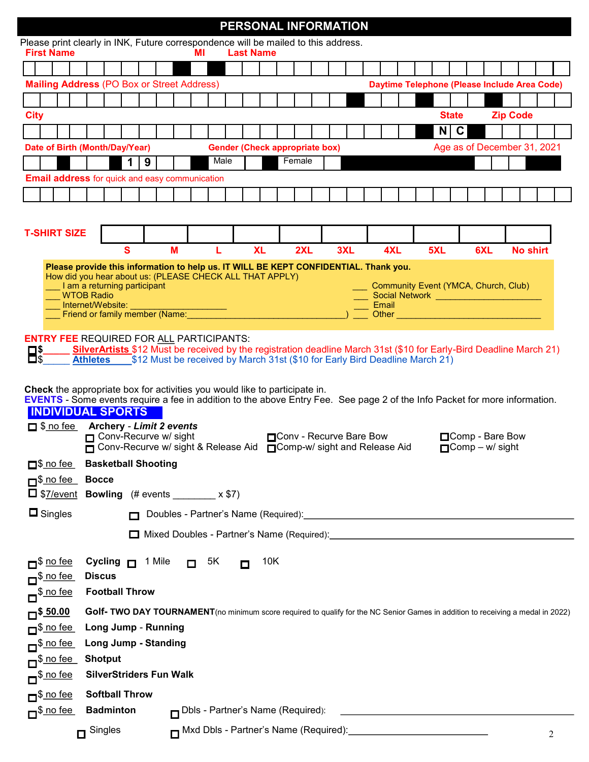| Please print clearly in INK, Future correspondence will be mailed to this address.                                                                                                                                                                                                                                                                                                                                                                                                                                    |                                                   |              |                                |                                |                                                          |                                                                                                                                                                                                                                                                                                                                                                                                                                |     |                                              |                                                                                                                                                                                                                                      |     |              |     |                             |                 |  |
|-----------------------------------------------------------------------------------------------------------------------------------------------------------------------------------------------------------------------------------------------------------------------------------------------------------------------------------------------------------------------------------------------------------------------------------------------------------------------------------------------------------------------|---------------------------------------------------|--------------|--------------------------------|--------------------------------|----------------------------------------------------------|--------------------------------------------------------------------------------------------------------------------------------------------------------------------------------------------------------------------------------------------------------------------------------------------------------------------------------------------------------------------------------------------------------------------------------|-----|----------------------------------------------|--------------------------------------------------------------------------------------------------------------------------------------------------------------------------------------------------------------------------------------|-----|--------------|-----|-----------------------------|-----------------|--|
| <b>First Name</b>                                                                                                                                                                                                                                                                                                                                                                                                                                                                                                     |                                                   |              |                                | мı                             | <b>Last Name</b>                                         |                                                                                                                                                                                                                                                                                                                                                                                                                                |     |                                              |                                                                                                                                                                                                                                      |     |              |     |                             |                 |  |
|                                                                                                                                                                                                                                                                                                                                                                                                                                                                                                                       |                                                   |              |                                |                                |                                                          |                                                                                                                                                                                                                                                                                                                                                                                                                                |     |                                              |                                                                                                                                                                                                                                      |     |              |     |                             |                 |  |
| <b>Mailing Address (PO Box or Street Address)</b>                                                                                                                                                                                                                                                                                                                                                                                                                                                                     |                                                   |              |                                |                                |                                                          |                                                                                                                                                                                                                                                                                                                                                                                                                                |     | Daytime Telephone (Please Include Area Code) |                                                                                                                                                                                                                                      |     |              |     |                             |                 |  |
|                                                                                                                                                                                                                                                                                                                                                                                                                                                                                                                       |                                                   |              |                                |                                |                                                          |                                                                                                                                                                                                                                                                                                                                                                                                                                |     |                                              |                                                                                                                                                                                                                                      |     |              |     |                             |                 |  |
| <b>City</b>                                                                                                                                                                                                                                                                                                                                                                                                                                                                                                           |                                                   |              |                                |                                |                                                          |                                                                                                                                                                                                                                                                                                                                                                                                                                |     |                                              |                                                                                                                                                                                                                                      |     | <b>State</b> |     | <b>Zip Code</b>             |                 |  |
|                                                                                                                                                                                                                                                                                                                                                                                                                                                                                                                       |                                                   |              |                                |                                |                                                          |                                                                                                                                                                                                                                                                                                                                                                                                                                |     |                                              |                                                                                                                                                                                                                                      |     | N C          |     |                             |                 |  |
| Date of Birth (Month/Day/Year)                                                                                                                                                                                                                                                                                                                                                                                                                                                                                        |                                                   |              |                                |                                |                                                          | <b>Gender (Check appropriate box)</b>                                                                                                                                                                                                                                                                                                                                                                                          |     |                                              |                                                                                                                                                                                                                                      |     |              |     | Age as of December 31, 2021 |                 |  |
|                                                                                                                                                                                                                                                                                                                                                                                                                                                                                                                       |                                                   | 9<br>1       |                                | Male                           |                                                          | Female                                                                                                                                                                                                                                                                                                                                                                                                                         |     |                                              |                                                                                                                                                                                                                                      |     |              |     |                             |                 |  |
| <b>Email address</b> for quick and easy communication                                                                                                                                                                                                                                                                                                                                                                                                                                                                 |                                                   |              |                                |                                |                                                          |                                                                                                                                                                                                                                                                                                                                                                                                                                |     |                                              |                                                                                                                                                                                                                                      |     |              |     |                             |                 |  |
|                                                                                                                                                                                                                                                                                                                                                                                                                                                                                                                       |                                                   |              |                                |                                |                                                          |                                                                                                                                                                                                                                                                                                                                                                                                                                |     |                                              |                                                                                                                                                                                                                                      |     |              |     |                             |                 |  |
|                                                                                                                                                                                                                                                                                                                                                                                                                                                                                                                       |                                                   |              |                                |                                |                                                          |                                                                                                                                                                                                                                                                                                                                                                                                                                |     |                                              |                                                                                                                                                                                                                                      |     |              |     |                             |                 |  |
|                                                                                                                                                                                                                                                                                                                                                                                                                                                                                                                       |                                                   |              |                                |                                |                                                          |                                                                                                                                                                                                                                                                                                                                                                                                                                |     |                                              |                                                                                                                                                                                                                                      |     |              |     |                             |                 |  |
| <b>T-SHIRT SIZE</b>                                                                                                                                                                                                                                                                                                                                                                                                                                                                                                   |                                                   |              |                                |                                |                                                          |                                                                                                                                                                                                                                                                                                                                                                                                                                |     |                                              |                                                                                                                                                                                                                                      |     |              |     |                             |                 |  |
|                                                                                                                                                                                                                                                                                                                                                                                                                                                                                                                       |                                                   | $\mathbf{s}$ | M                              | L                              | <b>XL</b>                                                | 2XL                                                                                                                                                                                                                                                                                                                                                                                                                            | 3XL | 4XL                                          |                                                                                                                                                                                                                                      | 5XL |              | 6XL |                             | <b>No shirt</b> |  |
|                                                                                                                                                                                                                                                                                                                                                                                                                                                                                                                       |                                                   |              |                                |                                |                                                          | Please provide this information to help us. IT WILL BE KEPT CONFIDENTIAL. Thank you.                                                                                                                                                                                                                                                                                                                                           |     |                                              |                                                                                                                                                                                                                                      |     |              |     |                             |                 |  |
|                                                                                                                                                                                                                                                                                                                                                                                                                                                                                                                       |                                                   |              |                                |                                | How did you hear about us: (PLEASE CHECK ALL THAT APPLY) |                                                                                                                                                                                                                                                                                                                                                                                                                                |     |                                              |                                                                                                                                                                                                                                      |     |              |     |                             |                 |  |
|                                                                                                                                                                                                                                                                                                                                                                                                                                                                                                                       | I am a returning participant<br><b>WTOB Radio</b> |              |                                |                                |                                                          |                                                                                                                                                                                                                                                                                                                                                                                                                                |     |                                              | Community Event (YMCA, Church, Club)<br>Social Network <b>Construction</b>                                                                                                                                                           |     |              |     |                             |                 |  |
|                                                                                                                                                                                                                                                                                                                                                                                                                                                                                                                       | Internet/Website:                                 |              |                                |                                |                                                          |                                                                                                                                                                                                                                                                                                                                                                                                                                |     | Email                                        |                                                                                                                                                                                                                                      |     |              |     |                             |                 |  |
|                                                                                                                                                                                                                                                                                                                                                                                                                                                                                                                       |                                                   |              |                                | Friend or family member (Name: |                                                          |                                                                                                                                                                                                                                                                                                                                                                                                                                |     |                                              | Other <b>Contract Contract Contract Contract Contract Contract Contract Contract Contract Contract Contract Contract Contract Contract Contract Contract Contract Contract Contract Contract Contract Contract Contract Contract</b> |     |              |     |                             |                 |  |
|                                                                                                                                                                                                                                                                                                                                                                                                                                                                                                                       |                                                   |              |                                |                                |                                                          | SilverArtists \$12 Must be received by the registration deadline March 31st (\$10 for Early-Bird Deadline March 21)<br>Athletes \$12 Must be received by March 31st (\$10 for Early Bird Deadline March 21)<br>Check the appropriate box for activities you would like to participate in.<br><b>EVENTS</b> - Some events require a fee in addition to the above Entry Fee. See page 2 of the Info Packet for more information. |     |                                              |                                                                                                                                                                                                                                      |     |              |     |                             |                 |  |
|                                                                                                                                                                                                                                                                                                                                                                                                                                                                                                                       |                                                   |              | $\Box$ Conv-Recurve w/ sight   |                                |                                                          | □ Conv - Recurve Bare Bow                                                                                                                                                                                                                                                                                                                                                                                                      |     |                                              |                                                                                                                                                                                                                                      |     |              |     | □ Comp - Bare Bow           |                 |  |
|                                                                                                                                                                                                                                                                                                                                                                                                                                                                                                                       |                                                   |              |                                |                                |                                                          | □ Conv-Recurve w/ sight & Release Aid □ Comp-w/ sight and Release Aid                                                                                                                                                                                                                                                                                                                                                          |     |                                              |                                                                                                                                                                                                                                      |     |              |     | $\Box$ Comp – w/ sight      |                 |  |
|                                                                                                                                                                                                                                                                                                                                                                                                                                                                                                                       |                                                   |              |                                |                                |                                                          |                                                                                                                                                                                                                                                                                                                                                                                                                                |     |                                              |                                                                                                                                                                                                                                      |     |              |     |                             |                 |  |
|                                                                                                                                                                                                                                                                                                                                                                                                                                                                                                                       |                                                   |              |                                |                                |                                                          |                                                                                                                                                                                                                                                                                                                                                                                                                                |     |                                              |                                                                                                                                                                                                                                      |     |              |     |                             |                 |  |
|                                                                                                                                                                                                                                                                                                                                                                                                                                                                                                                       |                                                   |              |                                |                                |                                                          |                                                                                                                                                                                                                                                                                                                                                                                                                                |     |                                              |                                                                                                                                                                                                                                      |     |              |     |                             |                 |  |
|                                                                                                                                                                                                                                                                                                                                                                                                                                                                                                                       |                                                   |              |                                |                                |                                                          |                                                                                                                                                                                                                                                                                                                                                                                                                                |     |                                              |                                                                                                                                                                                                                                      |     |              |     |                             |                 |  |
|                                                                                                                                                                                                                                                                                                                                                                                                                                                                                                                       |                                                   |              |                                |                                |                                                          | □ Mixed Doubles - Partner's Name (Required): __________________________________                                                                                                                                                                                                                                                                                                                                                |     |                                              |                                                                                                                                                                                                                                      |     |              |     |                             |                 |  |
|                                                                                                                                                                                                                                                                                                                                                                                                                                                                                                                       |                                                   |              |                                |                                |                                                          |                                                                                                                                                                                                                                                                                                                                                                                                                                |     |                                              |                                                                                                                                                                                                                                      |     |              |     |                             |                 |  |
|                                                                                                                                                                                                                                                                                                                                                                                                                                                                                                                       | Cycling $\Box$ 1 Mile                             |              |                                | 5K<br>$\Box$                   | 10K<br>П                                                 |                                                                                                                                                                                                                                                                                                                                                                                                                                |     |                                              |                                                                                                                                                                                                                                      |     |              |     |                             |                 |  |
|                                                                                                                                                                                                                                                                                                                                                                                                                                                                                                                       | <b>Discus</b>                                     |              |                                |                                |                                                          |                                                                                                                                                                                                                                                                                                                                                                                                                                |     |                                              |                                                                                                                                                                                                                                      |     |              |     |                             |                 |  |
|                                                                                                                                                                                                                                                                                                                                                                                                                                                                                                                       | <b>Football Throw</b>                             |              |                                |                                |                                                          |                                                                                                                                                                                                                                                                                                                                                                                                                                |     |                                              |                                                                                                                                                                                                                                      |     |              |     |                             |                 |  |
|                                                                                                                                                                                                                                                                                                                                                                                                                                                                                                                       |                                                   |              |                                |                                |                                                          |                                                                                                                                                                                                                                                                                                                                                                                                                                |     |                                              |                                                                                                                                                                                                                                      |     |              |     |                             |                 |  |
|                                                                                                                                                                                                                                                                                                                                                                                                                                                                                                                       |                                                   |              |                                |                                |                                                          | Golf- TWO DAY TOURNAMENT (no minimum score required to qualify for the NC Senior Games in addition to receiving a medal in 2022)                                                                                                                                                                                                                                                                                               |     |                                              |                                                                                                                                                                                                                                      |     |              |     |                             |                 |  |
|                                                                                                                                                                                                                                                                                                                                                                                                                                                                                                                       | <b>Long Jump - Running</b>                        |              |                                |                                |                                                          |                                                                                                                                                                                                                                                                                                                                                                                                                                |     |                                              |                                                                                                                                                                                                                                      |     |              |     |                             |                 |  |
|                                                                                                                                                                                                                                                                                                                                                                                                                                                                                                                       | <b>Long Jump - Standing</b>                       |              |                                |                                |                                                          |                                                                                                                                                                                                                                                                                                                                                                                                                                |     |                                              |                                                                                                                                                                                                                                      |     |              |     |                             |                 |  |
|                                                                                                                                                                                                                                                                                                                                                                                                                                                                                                                       | <b>Shotput</b>                                    |              |                                |                                |                                                          |                                                                                                                                                                                                                                                                                                                                                                                                                                |     |                                              |                                                                                                                                                                                                                                      |     |              |     |                             |                 |  |
|                                                                                                                                                                                                                                                                                                                                                                                                                                                                                                                       |                                                   |              | <b>SilverStriders Fun Walk</b> |                                |                                                          |                                                                                                                                                                                                                                                                                                                                                                                                                                |     |                                              |                                                                                                                                                                                                                                      |     |              |     |                             |                 |  |
|                                                                                                                                                                                                                                                                                                                                                                                                                                                                                                                       | <b>Softball Throw</b>                             |              |                                |                                |                                                          |                                                                                                                                                                                                                                                                                                                                                                                                                                |     |                                              |                                                                                                                                                                                                                                      |     |              |     |                             |                 |  |
| <b>ENTRY FEE REQUIRED FOR ALL PARTICIPANTS:</b><br>$\Xi_{s}^{s}$<br><b>INDIVIDUAL SPORTS</b><br>□ \$ no fee Archery - Limit 2 events<br>□ \$ no fee Basketball Shooting<br>n\$ no fee Bocce<br>□ \$7/event Bowling (# events ________ x \$7)<br>$\Box$ Singles<br>$\Box$ <sup>\$</sup> no fee<br>$\n  10$ no fee<br>$\Box$ <sup>\$</sup> no fee<br>$\Box$ \$ 50.00<br>$\n  1$ no fee<br>$\mathsf{\Pi}^\$$ no fee<br>$\n  10$ no fee<br>$\Box$ <sup>\$</sup> no fee<br>$\Box$ \$ no fee<br>$\Box$ <sup>\$ no fee</sup> | <b>Badminton</b>                                  |              |                                |                                |                                                          |                                                                                                                                                                                                                                                                                                                                                                                                                                |     |                                              |                                                                                                                                                                                                                                      |     |              |     |                             |                 |  |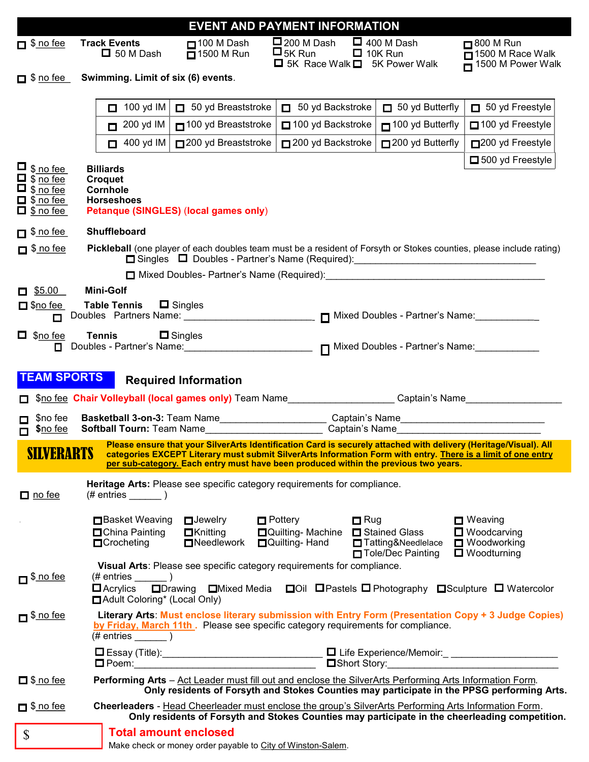|                                                                                                  |                                                                     |                                                                                                                         | <b>EVENT AND PAYMENT INFORMATION</b>                                                                                                                                                                                                                                                                                    |                                                        |                                                                                                                      |
|--------------------------------------------------------------------------------------------------|---------------------------------------------------------------------|-------------------------------------------------------------------------------------------------------------------------|-------------------------------------------------------------------------------------------------------------------------------------------------------------------------------------------------------------------------------------------------------------------------------------------------------------------------|--------------------------------------------------------|----------------------------------------------------------------------------------------------------------------------|
| $\Box$ \$ no fee                                                                                 | <b>Track Events</b><br>$\Box$ 50 M Dash                             | $\Box$ 100 M Dash<br>$\overline{\Box}$ 1500 M Run                                                                       | $\Box$ 200 M Dash<br>$\Box$ 5K Run<br>□ 5K Race Walk □ 5K Power Walk                                                                                                                                                                                                                                                    | $\Box$ 400 M Dash<br>$\Box$ 10K Run                    | $1800 M$ Run<br>$\overline{\Box}$ 1500 M Race Walk<br>$\overline{\phantom{1}}$ 1500 M Power Walk                     |
| $\Box$ \$ no fee                                                                                 | Swimming. Limit of six (6) events.                                  |                                                                                                                         |                                                                                                                                                                                                                                                                                                                         |                                                        |                                                                                                                      |
|                                                                                                  | 100 yd IM $\vert$<br>П                                              | $\Box$ 50 yd Breaststroke                                                                                               | $\Box$ 50 yd Backstroke                                                                                                                                                                                                                                                                                                 | $\Box$ 50 yd Butterfly                                 | $\Box$ 50 yd Freestyle                                                                                               |
|                                                                                                  | 200 yd IM<br>П                                                      | □ 100 yd Breaststroke                                                                                                   | 100 yd Backstroke                                                                                                                                                                                                                                                                                                       | $\Box$ 100 yd Butterfly                                | □ 100 yd Freestyle                                                                                                   |
|                                                                                                  | 400 yd IM<br>$\blacksquare$                                         | □ 200 yd Breaststroke                                                                                                   | □ 200 yd Backstroke                                                                                                                                                                                                                                                                                                     | □ 200 yd Butterfly                                     | □200 yd Freestyle                                                                                                    |
| $\Box$ \$ no fee<br>$\Box$ \$ no fee<br>$\Box$ \$ no fee<br>$\Box$ \$ no fee<br>$\Box$ \$ no fee | <b>Billiards</b><br><b>Croquet</b><br>Cornhole<br><b>Horseshoes</b> | Petanque (SINGLES) (local games only)                                                                                   |                                                                                                                                                                                                                                                                                                                         |                                                        | □ 500 yd Freestyle                                                                                                   |
| □ \$ no fee                                                                                      | Shuffleboard                                                        |                                                                                                                         |                                                                                                                                                                                                                                                                                                                         |                                                        |                                                                                                                      |
| $\Box$ \$ no fee                                                                                 |                                                                     | $\Box$ Singles $\Box$ Doubles - Partner's Name (Required):                                                              |                                                                                                                                                                                                                                                                                                                         |                                                        | Pickleball (one player of each doubles team must be a resident of Forsyth or Stokes counties, please include rating) |
|                                                                                                  |                                                                     |                                                                                                                         | □ Mixed Doubles- Partner's Name (Required): Mixed State Annual Contract of Mixed Doubles- Partner's Name (Required):                                                                                                                                                                                                    |                                                        |                                                                                                                      |
| $\Box$ \$5.00<br>□ \$no fee<br>$\Box$                                                            | <b>Mini-Golf</b><br><b>Table Tennis</b>                             | $\Box$ Singles                                                                                                          |                                                                                                                                                                                                                                                                                                                         |                                                        | Mixed Doubles - Partner's Name:                                                                                      |
| $\Box$ \$no fee<br>0.                                                                            | <b>Tennis</b>                                                       | $\Box$ Singles<br>Doubles - Partner's Name: Manner Allen Management and Allen Management and Allen Management and Allen |                                                                                                                                                                                                                                                                                                                         |                                                        | Mixed Doubles - Partner's Name:                                                                                      |
| <b>TEAM SPORTS</b>                                                                               |                                                                     | <b>Required Information</b>                                                                                             |                                                                                                                                                                                                                                                                                                                         |                                                        |                                                                                                                      |
| □                                                                                                |                                                                     |                                                                                                                         | \$ <u>no fee</u> <b>Chair Volleyball (local games only)</b> Team Name_____________________Captain's Name_________________                                                                                                                                                                                               |                                                        |                                                                                                                      |
| \$no fee<br>\$no fee<br>п                                                                        |                                                                     | Basketball 3-on-3: Team Name                                                                                            |                                                                                                                                                                                                                                                                                                                         |                                                        |                                                                                                                      |
|                                                                                                  |                                                                     |                                                                                                                         |                                                                                                                                                                                                                                                                                                                         |                                                        |                                                                                                                      |
| SIMERARTS                                                                                        |                                                                     |                                                                                                                         | Please ensure that your SilverArts Identification Card is securely attached with delivery (Heritage/Visual). All<br>categories EXCEPT Literary must submit SilverArts Information Form with entry. There is a limit of one entry<br>per sub-category. Each entry must have been produced within the previous two years. |                                                        |                                                                                                                      |
| $\Box$ no fee                                                                                    | $(\#$ entries $)$                                                   |                                                                                                                         | Heritage Arts: Please see specific category requirements for compliance.                                                                                                                                                                                                                                                |                                                        |                                                                                                                      |
|                                                                                                  | <b>□Basket Weaving</b><br>□ China Painting<br>$\Box$ Crocheting     | $\Box$ Jewelry<br>$\Box$ Knitting<br>Needlework                                                                         | $\Box$ Pottery<br>$\Box$ Rug<br>□ Quilting- Machine □ Stained Glass<br><b>□Quilting- Hand</b>                                                                                                                                                                                                                           | <b>□ Tatting&amp;Needlelace</b><br>□ Tole/Dec Painting | $\Box$ Weaving<br>$\Box$ Woodcarving<br>$\Box$ Woodworking<br>$\Box$ Woodturning                                     |
| $\Box$ \$ no fee                                                                                 | $(\#$ entries $)$<br>Adult Coloring* (Local Only)                   |                                                                                                                         | Visual Arts: Please see specific category requirements for compliance.<br>□ Acrylics □ Drawing □ Mixed Media □ Oil □ Pastels □ Photography □ Sculpture □ Watercolor                                                                                                                                                     |                                                        |                                                                                                                      |
| $\Box$ \$ no fee                                                                                 | $(\#$ entries $)$                                                   |                                                                                                                         | by Friday, March 11th. Please see specific category requirements for compliance.                                                                                                                                                                                                                                        |                                                        | Literary Arts: Must enclose literary submission with Entry Form (Presentation Copy + 3 Judge Copies)                 |
|                                                                                                  |                                                                     |                                                                                                                         |                                                                                                                                                                                                                                                                                                                         |                                                        |                                                                                                                      |
| $\Box$ \$ no fee                                                                                 |                                                                     |                                                                                                                         | Performing Arts - Act Leader must fill out and enclose the SilverArts Performing Arts Information Form.                                                                                                                                                                                                                 |                                                        | Only residents of Forsyth and Stokes Counties may participate in the PPSG performing Arts.                           |
| $\Box$ \$ no fee                                                                                 |                                                                     |                                                                                                                         | Cheerleaders - Head Cheerleader must enclose the group's SilverArts Performing Arts Information Form.                                                                                                                                                                                                                   |                                                        | Only residents of Forsyth and Stokes Counties may participate in the cheerleading competition.                       |